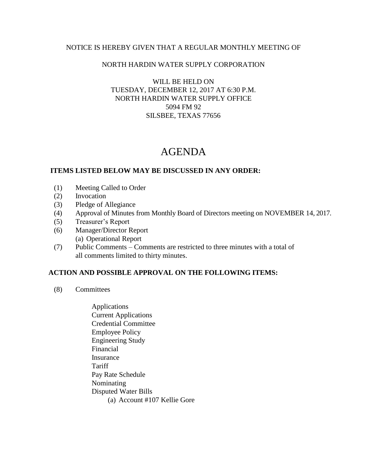# NOTICE IS HEREBY GIVEN THAT A REGULAR MONTHLY MEETING OF

### NORTH HARDIN WATER SUPPLY CORPORATION

### WILL BE HELD ON TUESDAY, DECEMBER 12, 2017 AT 6:30 P.M. NORTH HARDIN WATER SUPPLY OFFICE 5094 FM 92 SILSBEE, TEXAS 77656

# AGENDA

#### **ITEMS LISTED BELOW MAY BE DISCUSSED IN ANY ORDER:**

- (1) Meeting Called to Order
- (2) Invocation
- (3) Pledge of Allegiance
- (4) Approval of Minutes from Monthly Board of Directors meeting on NOVEMBER 14, 2017.
- (5) Treasurer's Report
- (6) Manager/Director Report (a) Operational Report
- (7) Public Comments Comments are restricted to three minutes with a total of all comments limited to thirty minutes.

# **ACTION AND POSSIBLE APPROVAL ON THE FOLLOWING ITEMS:**

- (8) Committees
	- Applications Current Applications Credential Committee Employee Policy Engineering Study Financial Insurance **Tariff**  Pay Rate Schedule Nominating Disputed Water Bills (a) Account #107 Kellie Gore